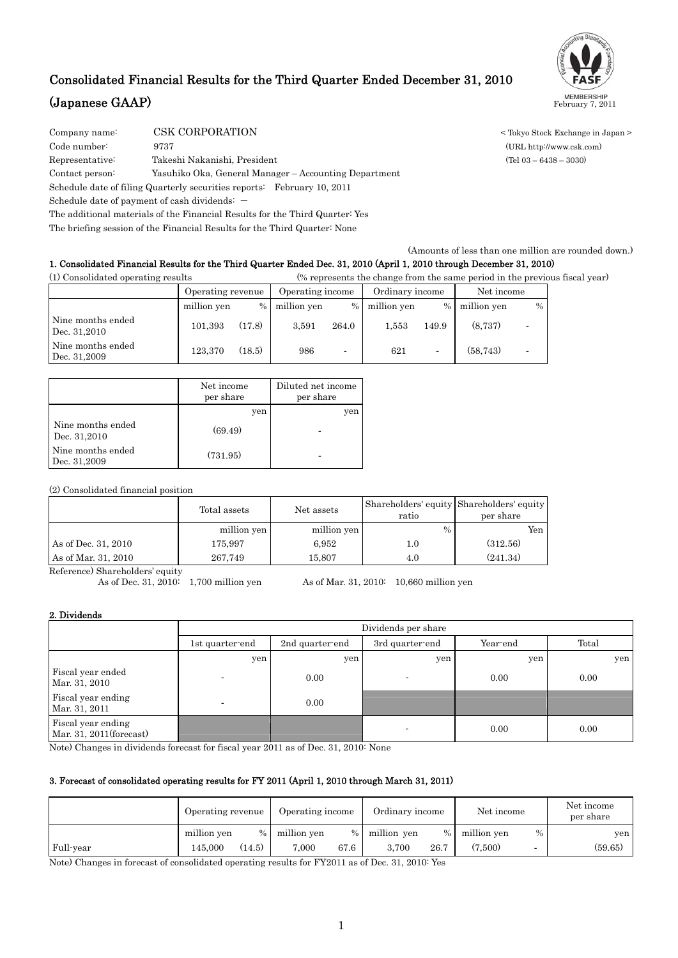# Consolidated Financial Results for the Third Quarter Ended December 31, 2010 **(Japanese GAAP)** MEMBERSHIP February 7, 2011



Company name: CSK CORPORATION < Tokyo Stock Exchange in Japan > Code number: 9737 (URL http://www.csk.com)

Representative: Takeshi Nakanishi, President (Tel 03 – 6438 – 3030)

Contact person: Yasuhiko Oka, General Manager – Accounting Department

Schedule date of filing Quarterly securities reports: February 10, 2011

Schedule date of payment of cash dividends:  $-$ 

The additional materials of the Financial Results for the Third Quarter: Yes

The briefing session of the Financial Results for the Third Quarter: None

(Amounts of less than one million are rounded down.)

### 1. Consolidated Financial Results for the Third Quarter Ended Dec. 31, 2010 (April 1, 2010 through December 31, 2010)

(1) Consolidated operating results (% represents the change from the same period in the previous fiscal year)

|                                   | Operating revenue |        | Operating income |                          | Ordinary income |                          | Net income  |                          |
|-----------------------------------|-------------------|--------|------------------|--------------------------|-----------------|--------------------------|-------------|--------------------------|
|                                   | million yen       | $\%$   | million yen      | $\%$                     | million yen     | $\%$                     | million yen | $\frac{0}{0}$            |
| Nine months ended<br>Dec. 31,2010 | 101.393           | (17.8) | 3.591            | 264.0                    | 1.553           | 149.9                    | (8.737)     | -                        |
| Nine months ended<br>Dec. 31,2009 | 123,370           | (18.5) | 986              | $\overline{\phantom{a}}$ | 621             | $\overline{\phantom{0}}$ | (58, 743)   | $\overline{\phantom{0}}$ |

|                                   | Net income<br>per share | Diluted net income<br>per share |
|-----------------------------------|-------------------------|---------------------------------|
|                                   | yen                     | yen                             |
| Nine months ended<br>Dec. 31,2010 | (69.49)                 |                                 |
| Nine months ended<br>Dec. 31,2009 | (731.95)                |                                 |

(2) Consolidated financial position

|                     | Total assets | Net assets  | ratio         | Shareholders' equity Shareholders' equity<br>per share |
|---------------------|--------------|-------------|---------------|--------------------------------------------------------|
|                     | million yen  | million yen | $\frac{0}{0}$ | Yen                                                    |
| As of Dec. 31, 2010 | 175,997      | 6.952       | $1.0\,$       | (312.56)                                               |
| As of Mar. 31, 2010 | 267.749      | 15.807      | 4.0           | (241.34)                                               |

Reference) Shareholders' equity

As of Dec. 31, 2010: 1,700 million yen As of Mar. 31, 2010: 10,660 million yen

### 2. Dividends

|                                               | Dividends per share      |                 |                          |          |       |  |  |  |  |
|-----------------------------------------------|--------------------------|-----------------|--------------------------|----------|-------|--|--|--|--|
|                                               | 1st quarter-end          | 2nd quarter-end | 3rd quarter end          | Year-end | Total |  |  |  |  |
|                                               | yen                      | yen             | yen                      | yen      | yen   |  |  |  |  |
| Fiscal year ended<br>Mar. 31, 2010            |                          | 0.00            |                          | 0.00     | 0.00  |  |  |  |  |
| Fiscal year ending<br>Mar. 31, 2011           | $\overline{\phantom{0}}$ | 0.00            |                          |          |       |  |  |  |  |
| Fiscal year ending<br>Mar. 31, 2011(forecast) |                          |                 | $\overline{\phantom{0}}$ | 0.00     | 0.00  |  |  |  |  |

Note) Changes in dividends forecast for fiscal year 2011 as of Dec. 31, 2010: None

### 3. Forecast of consolidated operating results for FY 2011 (April 1, 2010 through March 31, 2011)

|           | Operating revenue |               | Operating income |      | Ordinary income |      | Net income  |      | Net income<br>per share |
|-----------|-------------------|---------------|------------------|------|-----------------|------|-------------|------|-------------------------|
|           | million yen       | $\frac{0}{0}$ | million yen      | $\%$ | million yen     | $\%$ | million yen | $\%$ | yen                     |
| Full-year | 145,000           | (14.5)        | 7.000            | 67.6 | 3.700           | 26.7 | (7.500)     |      | (59.65)                 |

Note) Changes in forecast of consolidated operating results for FY2011 as of Dec. 31, 2010: Yes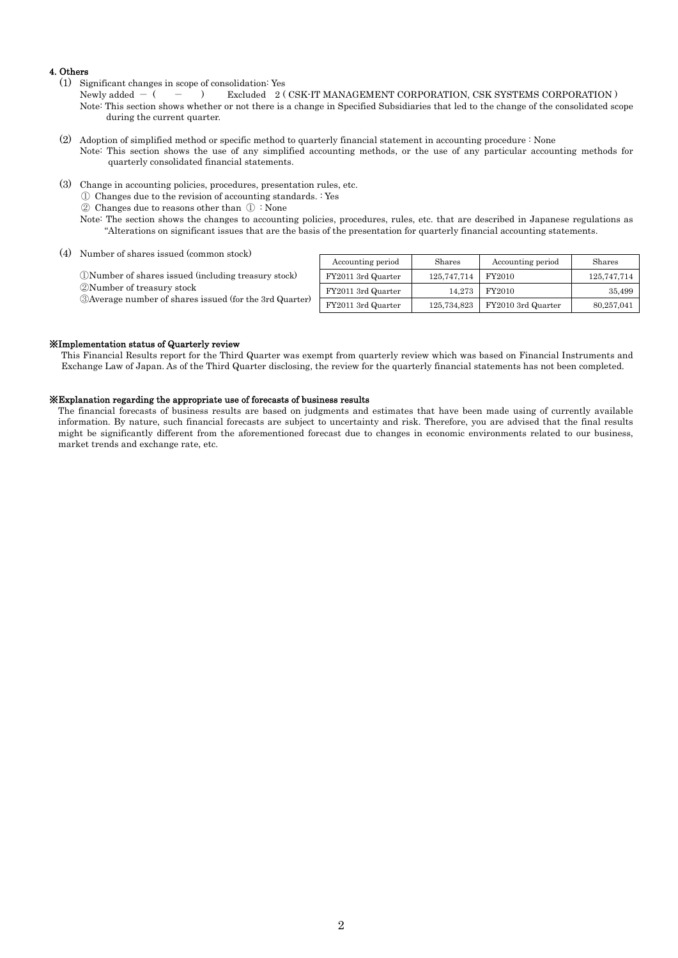### 4. Others

- (1) Significant changes in scope of consolidation: Yes
	- Newly added  $-$  (  $-$  ) Excluded 2 (CSK-IT MANAGEMENT CORPORATION, CSK SYSTEMS CORPORATION) Note: This section shows whether or not there is a change in Specified Subsidiaries that led to the change of the consolidated scope during the current quarter.
- (2) Adoption of simplified method or specific method to quarterly financial statement in accounting procedure : None Note: This section shows the use of any simplified accounting methods, or the use of any particular accounting methods for quarterly consolidated financial statements.
- (3) Change in accounting policies, procedures, presentation rules, etc.

① Changes due to the revision of accounting standards. : Yes

- ② Changes due to reasons other than ① : None
- Note: The section shows the changes to accounting policies, procedures, rules, etc. that are described in Japanese regulations as "Alterations on significant issues that are the basis of the presentation for quarterly financial accounting statements.
- (4) Number of shares issued (common stock)

①Number of shares issued (including treasury stock) ②Number of treasury stock ③Average number of shares issued (for the 3rd Quarter)

| Accounting period  | Shares      | Accounting period  | Shares      |
|--------------------|-------------|--------------------|-------------|
| FY2011 3rd Quarter | 125,747,714 | FY2010             | 125,747,714 |
| FY2011 3rd Quarter | 14.273      | FY2010             | 35.499      |
| FY2011 3rd Quarter | 125,734,823 | FY2010 3rd Quarter | 80,257,041  |

#### ※Implementation status of Quarterly review

This Financial Results report for the Third Quarter was exempt from quarterly review which was based on Financial Instruments and Exchange Law of Japan. As of the Third Quarter disclosing, the review for the quarterly financial statements has not been completed.

#### ※Explanation regarding the appropriate use of forecasts of business results

The financial forecasts of business results are based on judgments and estimates that have been made using of currently available information. By nature, such financial forecasts are subject to uncertainty and risk. Therefore, you are advised that the final results might be significantly different from the aforementioned forecast due to changes in economic environments related to our business, market trends and exchange rate, etc.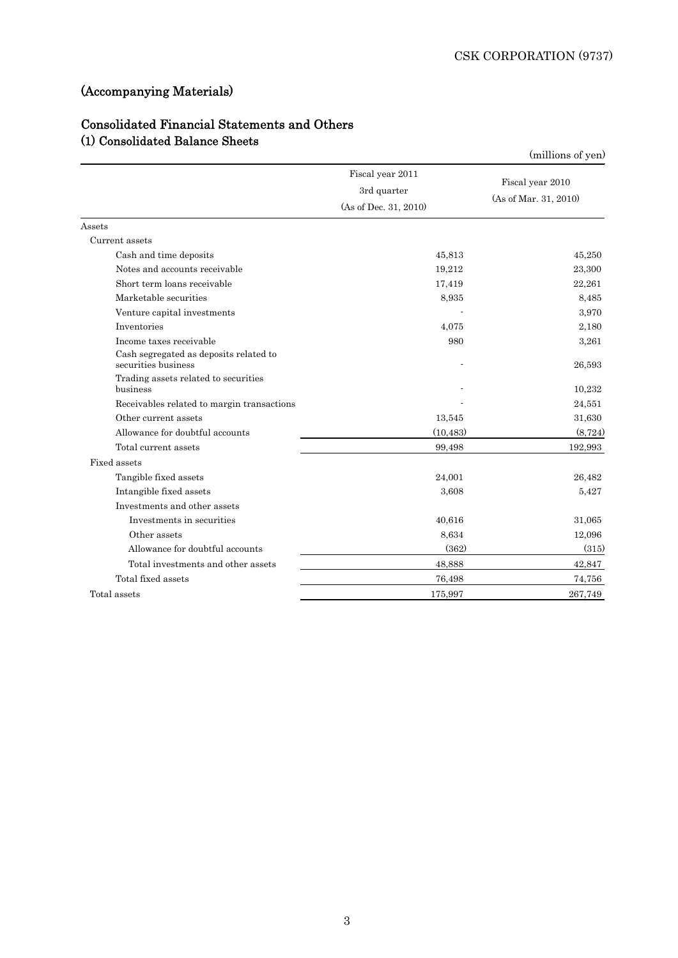# (Accompanying Materials)

## Consolidated Financial Statements and Others (1) Consolidated Balance Sheets

|                                                               |                                 | (millions of yen)                         |
|---------------------------------------------------------------|---------------------------------|-------------------------------------------|
|                                                               | Fiscal year 2011<br>3rd quarter | Fiscal year 2010<br>(As of Mar. 31, 2010) |
|                                                               | (As of Dec. 31, 2010)           |                                           |
| Assets                                                        |                                 |                                           |
| Current assets                                                |                                 |                                           |
| Cash and time deposits                                        | 45,813                          | 45,250                                    |
| Notes and accounts receivable                                 | 19,212                          | 23,300                                    |
| Short term loans receivable                                   | 17,419                          | 22,261                                    |
| Marketable securities                                         | 8,935                           | 8,485                                     |
| Venture capital investments                                   |                                 | 3.970                                     |
| Inventories                                                   | 4,075                           | 2,180                                     |
| Income taxes receivable                                       | 980                             | 3,261                                     |
| Cash segregated as deposits related to<br>securities business |                                 | 26,593                                    |
| Trading assets related to securities<br>business              |                                 | 10,232                                    |
| Receivables related to margin transactions                    |                                 | 24,551                                    |
| Other current assets                                          | 13,545                          | 31,630                                    |
| Allowance for doubtful accounts                               | (10, 483)                       | (8, 724)                                  |
| Total current assets                                          | 99,498                          | 192,993                                   |
| Fixed assets                                                  |                                 |                                           |
| Tangible fixed assets                                         | 24,001                          | 26,482                                    |
| Intangible fixed assets                                       | 3,608                           | 5,427                                     |
| Investments and other assets                                  |                                 |                                           |
| Investments in securities                                     | 40,616                          | 31,065                                    |
| Other assets                                                  | 8.634                           | 12,096                                    |
| Allowance for doubtful accounts                               | (362)                           | (315)                                     |
| Total investments and other assets                            | 48,888                          | 42,847                                    |
| Total fixed assets                                            | 76,498                          | 74,756                                    |
| Total assets                                                  | 175,997                         | 267,749                                   |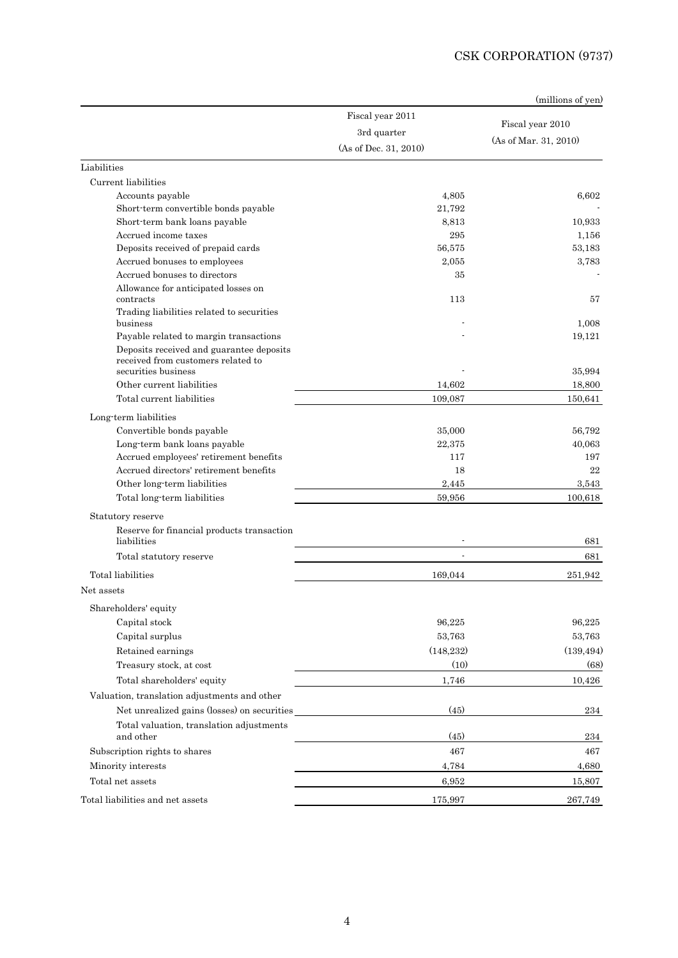|                                                                                                                                                 |                       | (millions of yen)     |
|-------------------------------------------------------------------------------------------------------------------------------------------------|-----------------------|-----------------------|
|                                                                                                                                                 | Fiscal year 2011      |                       |
|                                                                                                                                                 | 3rd quarter           | Fiscal year 2010      |
|                                                                                                                                                 | (As of Dec. 31, 2010) | (As of Mar. 31, 2010) |
| Liabilities                                                                                                                                     |                       |                       |
| Current liabilities                                                                                                                             |                       |                       |
| Accounts payable                                                                                                                                | 4,805                 | 6.602                 |
| Short-term convertible bonds payable                                                                                                            | 21,792                |                       |
| Short-term bank loans payable                                                                                                                   | 8,813                 | 10,933                |
| Accrued income taxes                                                                                                                            | 295                   | 1,156                 |
| Deposits received of prepaid cards                                                                                                              | 56,575                | 53,183                |
| Accrued bonuses to employees                                                                                                                    | 2,055                 | 3,783                 |
| Accrued bonuses to directors                                                                                                                    | 35                    |                       |
| Allowance for anticipated losses on<br>contracts                                                                                                | 113                   | 57                    |
| Trading liabilities related to securities<br>business                                                                                           |                       | 1.008                 |
| Payable related to margin transactions<br>Deposits received and guarantee deposits<br>received from customers related to<br>securities business |                       | 19,121                |
| Other current liabilities                                                                                                                       | 14,602                | 35,994<br>18,800      |
| Total current liabilities                                                                                                                       | 109,087               | 150,641               |
|                                                                                                                                                 |                       |                       |
| Long term liabilities<br>Convertible bonds payable                                                                                              | 35,000                | 56,792                |
| Long-term bank loans payable                                                                                                                    | 22,375                | 40,063                |
| Accrued employees' retirement benefits                                                                                                          | 117                   | 197                   |
| Accrued directors' retirement benefits                                                                                                          | 18                    | 22                    |
| Other long-term liabilities                                                                                                                     | 2,445                 | 3,543                 |
| Total long term liabilities                                                                                                                     | 59,956                | 100,618               |
| Statutory reserve                                                                                                                               |                       |                       |
| Reserve for financial products transaction<br>liabilities                                                                                       |                       | 681                   |
| Total statutory reserve                                                                                                                         | ÷,                    | 681                   |
| Total liabilities                                                                                                                               | 169,044               | 251,942               |
| Net assets                                                                                                                                      |                       |                       |
| Shareholders' equity                                                                                                                            |                       |                       |
| Capital stock                                                                                                                                   | 96,225                | 96,225                |
| Capital surplus                                                                                                                                 | 53,763                | 53,763                |
| Retained earnings                                                                                                                               | (148, 232)            | (139, 494)            |
| Treasury stock, at cost                                                                                                                         | (10)                  | (68)                  |
| Total shareholders' equity                                                                                                                      | 1,746                 | 10,426                |
| Valuation, translation adjustments and other                                                                                                    |                       |                       |
| Net unrealized gains (losses) on securities                                                                                                     | (45)                  | $\bf 234$             |
| Total valuation, translation adjustments                                                                                                        |                       |                       |
| and other                                                                                                                                       | (45)                  | 234                   |
| Subscription rights to shares                                                                                                                   | 467                   | 467                   |
| Minority interests                                                                                                                              | 4,784                 | 4,680                 |
| Total net assets                                                                                                                                | 6,952                 | 15,807                |
| Total liabilities and net assets                                                                                                                | 175,997               | 267,749               |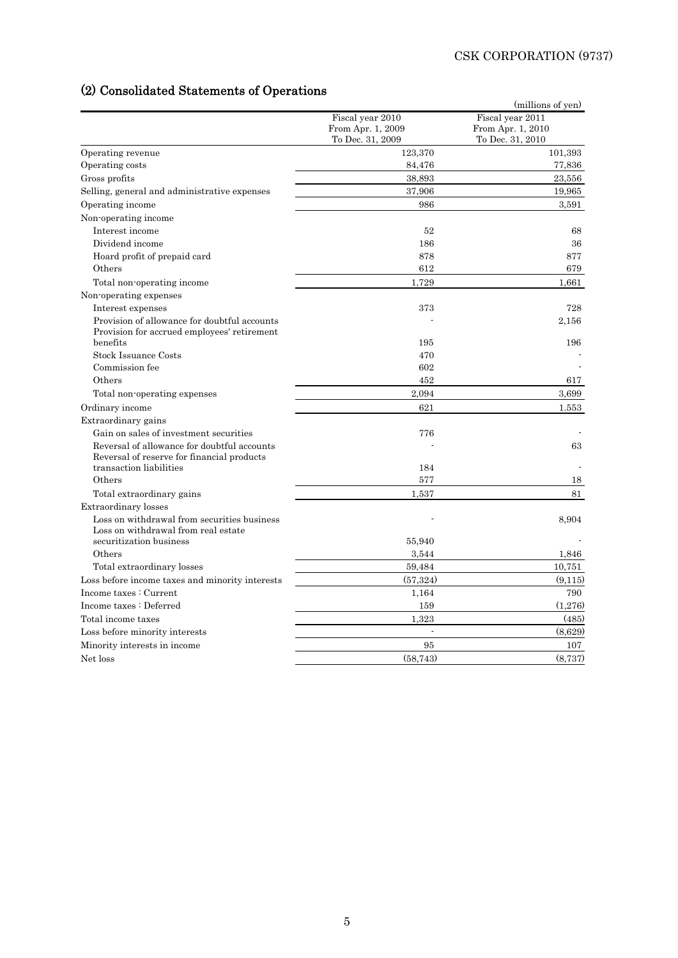# (2) Consolidated Statements of Operations

|                                                                                             | Fiscal year 2010     | (millions of yen)<br>Fiscal year 2011 |
|---------------------------------------------------------------------------------------------|----------------------|---------------------------------------|
|                                                                                             | From Apr. 1, 2009    | From Apr. 1, 2010                     |
|                                                                                             | To Dec. 31, 2009     | To Dec. 31, 2010                      |
| Operating revenue                                                                           | 123,370              | 101,393                               |
| Operating costs                                                                             | 84,476               | 77,836                                |
| Gross profits                                                                               | 38,893               | 23,556                                |
| Selling, general and administrative expenses                                                | 37,906               | 19,965                                |
| Operating income                                                                            | 986                  | 3,591                                 |
| Non-operating income                                                                        |                      |                                       |
| Interest income                                                                             | 52                   | 68                                    |
| Dividend income                                                                             | 186                  | 36                                    |
| Hoard profit of prepaid card                                                                | 878                  | 877                                   |
| Others                                                                                      | 612                  | 679                                   |
| Total non-operating income                                                                  | 1,729                | 1,661                                 |
| Non-operating expenses                                                                      |                      |                                       |
| Interest expenses                                                                           | 373                  | 728                                   |
| Provision of allowance for doubtful accounts<br>Provision for accrued employees' retirement |                      | 2,156                                 |
| benefits                                                                                    | 195                  | 196                                   |
| Stock Issuance Costs                                                                        | 470                  |                                       |
| Commission fee                                                                              | 602                  |                                       |
| Others                                                                                      | 452                  | 617                                   |
| Total non-operating expenses                                                                | 2,094                | 3.699                                 |
| Ordinary income                                                                             | 621                  | 1.553                                 |
| Extraordinary gains                                                                         |                      |                                       |
| Gain on sales of investment securities                                                      | 776                  |                                       |
| Reversal of allowance for doubtful accounts<br>Reversal of reserve for financial products   |                      | 63                                    |
| transaction liabilities                                                                     | 184                  |                                       |
| Others                                                                                      | 577                  | 18                                    |
| Total extraordinary gains                                                                   | 1,537                | 81                                    |
| Extraordinary losses                                                                        |                      |                                       |
| Loss on withdrawal from securities business<br>Loss on withdrawal from real estate          |                      | 8.904                                 |
| securitization business                                                                     | 55,940               |                                       |
| Others                                                                                      | 3.544                | 1,846                                 |
| Total extraordinary losses                                                                  | 59,484               | 10,751                                |
| Loss before income taxes and minority interests                                             | (57, 324)            | (9,115)                               |
| Income taxes: Current                                                                       | 1,164                | 790                                   |
| Income taxes : Deferred                                                                     | 159                  | (1,276)                               |
| Total income taxes                                                                          | 1,323                | (485)                                 |
| Loss before minority interests                                                              | $\ddot{\phantom{a}}$ | (8,629)                               |
| Minority interests in income                                                                | 95                   | 107                                   |
| Net loss                                                                                    | (58, 743)            | (8,737)                               |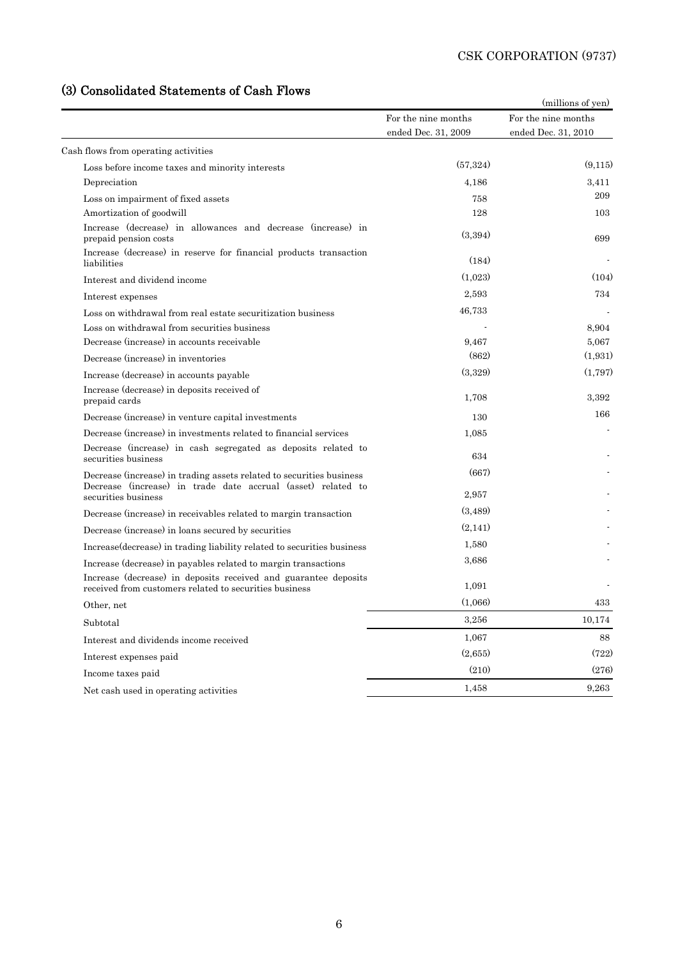# (3) Consolidated Statements of Cash Flows

|                                                                                                                                      |                                            | (millions of yen)                          |
|--------------------------------------------------------------------------------------------------------------------------------------|--------------------------------------------|--------------------------------------------|
|                                                                                                                                      | For the nine months<br>ended Dec. 31, 2009 | For the nine months<br>ended Dec. 31, 2010 |
| Cash flows from operating activities                                                                                                 |                                            |                                            |
| Loss before income taxes and minority interests                                                                                      | (57, 324)                                  | (9.115)                                    |
| Depreciation                                                                                                                         | 4,186                                      | 3.411                                      |
| Loss on impairment of fixed assets                                                                                                   | 758                                        | 209                                        |
| Amortization of goodwill                                                                                                             | 128                                        | 103                                        |
| Increase (decrease) in allowances and decrease (increase) in<br>prepaid pension costs                                                | (3,394)                                    | 699                                        |
| Increase (decrease) in reserve for financial products transaction<br>liabilities                                                     | (184)                                      |                                            |
| Interest and dividend income                                                                                                         | (1,023)                                    | (104)                                      |
| Interest expenses                                                                                                                    | 2,593                                      | 734                                        |
| Loss on withdrawal from real estate securitization business                                                                          | 46,733                                     |                                            |
| Loss on withdrawal from securities business                                                                                          |                                            | 8.904                                      |
| Decrease (increase) in accounts receivable                                                                                           | 9,467                                      | 5,067                                      |
| Decrease (increase) in inventories                                                                                                   | (862)                                      | (1,931)                                    |
| Increase (decrease) in accounts payable                                                                                              | (3.329)                                    | (1,797)                                    |
| Increase (decrease) in deposits received of<br>prepaid cards                                                                         | 1,708                                      | 3.392                                      |
| Decrease (increase) in venture capital investments                                                                                   | 130                                        | 166                                        |
| Decrease (increase) in investments related to financial services                                                                     | 1,085                                      |                                            |
| Decrease (increase) in cash segregated as deposits related to<br>securities business                                                 | 634                                        |                                            |
| Decrease (increase) in trading assets related to securities business<br>Decrease (increase) in trade date accrual (asset) related to | (667)                                      |                                            |
| securities business                                                                                                                  | 2,957                                      |                                            |
| Decrease (increase) in receivables related to margin transaction                                                                     | (3,489)                                    |                                            |
| Decrease (increase) in loans secured by securities                                                                                   | (2,141)                                    |                                            |
| Increase (decrease) in trading liability related to securities business                                                              | 1,580                                      |                                            |
| Increase (decrease) in payables related to margin transactions                                                                       | 3,686                                      |                                            |
| Increase (decrease) in deposits received and guarantee deposits<br>received from customers related to securities business            | 1,091                                      |                                            |
| Other, net                                                                                                                           | (1,066)                                    | 433                                        |
| Subtotal                                                                                                                             | 3,256                                      | 10,174                                     |
| Interest and dividends income received                                                                                               | 1,067                                      | 88                                         |
| Interest expenses paid                                                                                                               | (2,655)                                    | (722)                                      |
| Income taxes paid                                                                                                                    | (210)                                      | (276)                                      |
| Net cash used in operating activities                                                                                                | 1,458                                      | 9,263                                      |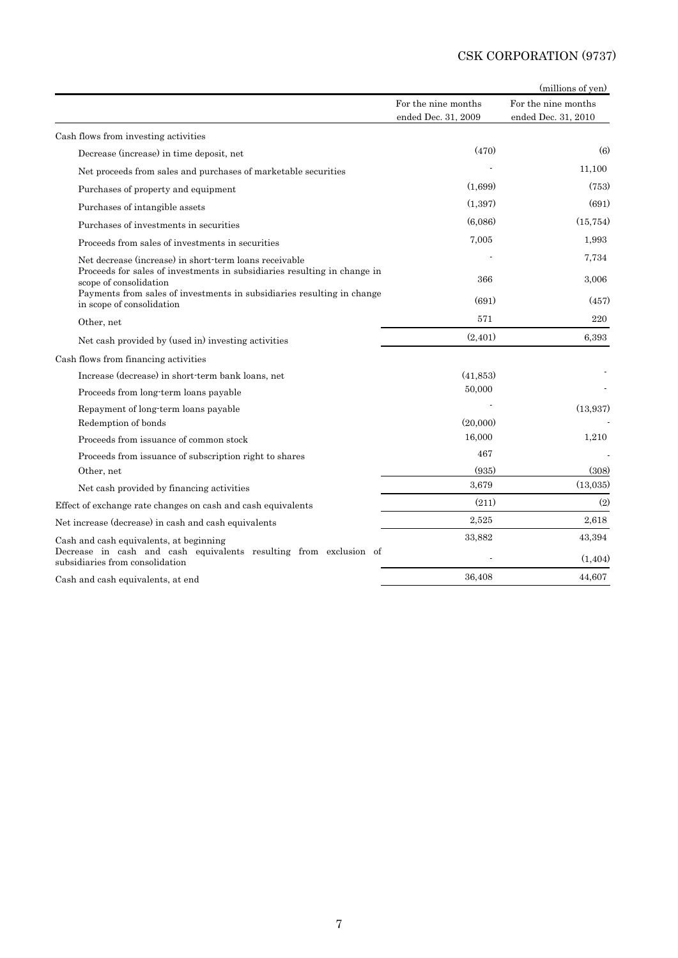|                                                                                                      |                     | (millions of yen)   |
|------------------------------------------------------------------------------------------------------|---------------------|---------------------|
|                                                                                                      | For the nine months | For the nine months |
|                                                                                                      | ended Dec. 31, 2009 | ended Dec. 31, 2010 |
| Cash flows from investing activities                                                                 |                     |                     |
| Decrease (increase) in time deposit, net                                                             | (470)               | (6)                 |
| Net proceeds from sales and purchases of marketable securities                                       |                     | 11,100              |
| Purchases of property and equipment                                                                  | (1,699)             | (753)               |
| Purchases of intangible assets                                                                       | (1, 397)            | (691)               |
| Purchases of investments in securities                                                               | (6.086)             | (15, 754)           |
| Proceeds from sales of investments in securities                                                     | 7.005               | 1,993               |
| Net decrease (increase) in short-term loans receivable                                               |                     | 7,734               |
| Proceeds for sales of investments in subsidiaries resulting in change in<br>scope of consolidation   | 366                 | 3,006               |
| Payments from sales of investments in subsidiaries resulting in change<br>in scope of consolidation  | (691)               | (457)               |
| Other, net                                                                                           | 571                 | 220                 |
| Net cash provided by (used in) investing activities                                                  | (2, 401)            | 6,393               |
| Cash flows from financing activities                                                                 |                     |                     |
| Increase (decrease) in short-term bank loans, net                                                    | (41,853)            |                     |
| Proceeds from long-term loans payable                                                                | 50,000              |                     |
| Repayment of long-term loans payable                                                                 |                     | (13,937)            |
| Redemption of bonds                                                                                  | (20,000)            |                     |
| Proceeds from issuance of common stock                                                               | 16,000              | 1,210               |
| Proceeds from issuance of subscription right to shares                                               | 467                 |                     |
| Other, net                                                                                           | (935)               | (308)               |
| Net cash provided by financing activities                                                            | 3.679               | (13,035)            |
| Effect of exchange rate changes on cash and cash equivalents                                         | (211)               | (2)                 |
| Net increase (decrease) in cash and cash equivalents                                                 | 2,525               | 2,618               |
| Cash and cash equivalents, at beginning                                                              | 33,882              | 43,394              |
| Decrease in cash and cash equivalents resulting from exclusion of<br>subsidiaries from consolidation |                     | (1, 404)            |
| Cash and cash equivalents, at end                                                                    | 36,408              | 44,607              |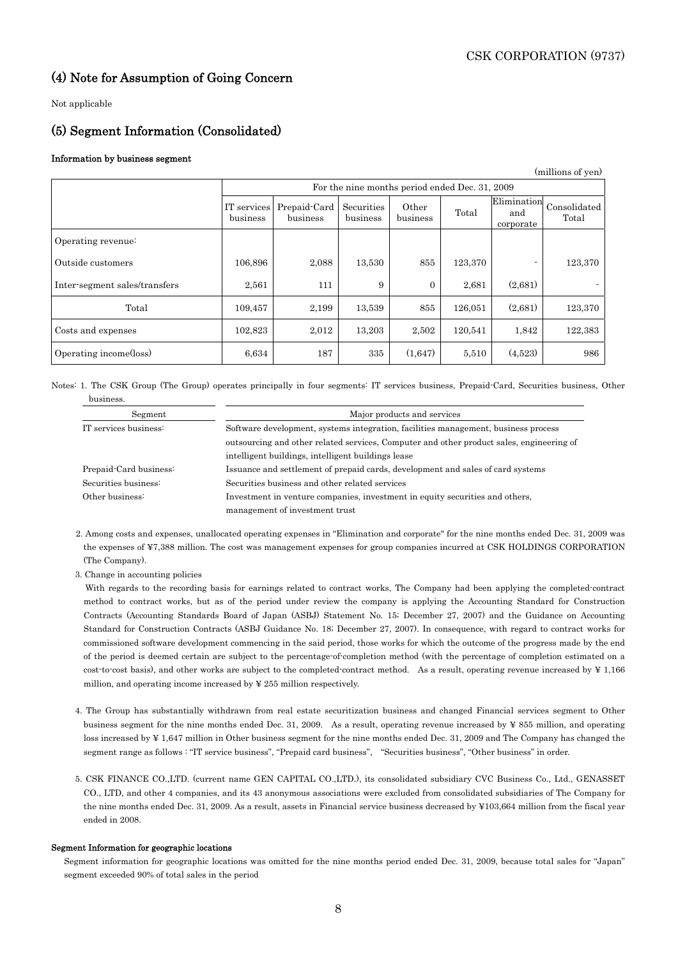### (4) Note for Assumption of Going Concern

Not applicable

### (5) Segment Information (Consolidated)

### Information by business segment

| (millions of yen)             |                         |                          |                                                |                   |         |                                 |                       |  |
|-------------------------------|-------------------------|--------------------------|------------------------------------------------|-------------------|---------|---------------------------------|-----------------------|--|
|                               |                         |                          | For the nine months period ended Dec. 31, 2009 |                   |         |                                 |                       |  |
|                               | IT services<br>business | Prepaid-Card<br>business | Securities<br>business                         | Other<br>business | Total   | Elimination<br>and<br>corporate | Consolidated<br>Total |  |
| Operating revenue:            |                         |                          |                                                |                   |         |                                 |                       |  |
| Outside customers             | 106,896                 | 2,088                    | 13,530                                         | 855               | 123,370 |                                 | 123,370               |  |
| Inter-segment sales/transfers | 2,561                   | 111                      | 9                                              | $\Omega$          | 2,681   | (2,681)                         |                       |  |
| Total                         | 109,457                 | 2,199                    | 13,539                                         | 855               | 126,051 | (2,681)                         | 123,370               |  |
| Costs and expenses            | 102,823                 | 2,012                    | 13,203                                         | 2,502             | 120,541 | 1,842                           | 122,383               |  |
| Operating income(loss)        | 6,634                   | 187                      | 335                                            | (1,647)           | 5,510   | (4,523)                         | 986                   |  |

Notes: 1. The CSK Group (The Group) operates principally in four segments: IT services business, Prepaid-Card, Securities business, Other business.

| Segment                | Major products and services                                                              |  |  |  |  |  |
|------------------------|------------------------------------------------------------------------------------------|--|--|--|--|--|
| IT services business:  | Software development, systems integration, facilities management, business process       |  |  |  |  |  |
|                        | outsourcing and other related services, Computer and other product sales, engineering of |  |  |  |  |  |
|                        | intelligent buildings, intelligent buildings lease                                       |  |  |  |  |  |
| Prepaid Card business: | Issuance and settlement of prepaid cards, development and sales of card systems          |  |  |  |  |  |
| Securities business:   | Securities business and other related services                                           |  |  |  |  |  |
| Other business:        | Investment in venture companies, investment in equity securities and others,             |  |  |  |  |  |
|                        | management of investment trust                                                           |  |  |  |  |  |

2. Among costs and expenses, unallocated operating expenses in "Elimination and corporate" for the nine months ended Dec. 31, 2009 was the expenses of ¥7,388 million. The cost was management expenses for group companies incurred at CSK HOLDINGS CORPORATION (The Company).

3. Change in accounting policies

 With regards to the recording basis for earnings related to contract works, The Company had been applying the completed-contract method to contract works, but as of the period under review the company is applying the Accounting Standard for Construction Contracts (Accounting Standards Board of Japan (ASBJ) Statement No. 15; December 27, 2007) and the Guidance on Accounting Standard for Construction Contracts (ASBJ Guidance No. 18; December 27, 2007). In consequence, with regard to contract works for commissioned software development commencing in the said period, those works for which the outcome of the progress made by the end of the period is deemed certain are subject to the percentage-of-completion method (with the percentage of completion estimated on a cost-to-cost basis), and other works are subject to the completed-contract method. As a result, operating revenue increased by ¥ 1,166 million, and operating income increased by ¥ 255 million respectively.

- 4. The Group has substantially withdrawn from real estate securitization business and changed Financial services segment to Other business segment for the nine months ended Dec. 31, 2009. As a result, operating revenue increased by ¥ 855 million, and operating loss increased by ¥ 1,647 million in Other business segment for the nine months ended Dec. 31, 2009 and The Company has changed the segment range as follows : "IT service business", "Prepaid card business", "Securities business", "Other business" in order.
- 5. CSK FINANCE CO.,LTD. (current name GEN CAPITAL CO.,LTD.), its consolidated subsidiary CVC Business Co., Ltd., GENASSET CO., LTD, and other 4 companies, and its 43 anonymous associations were excluded from consolidated subsidiaries of The Company for the nine months ended Dec. 31, 2009. As a result, assets in Financial service business decreased by ¥103,664 million from the fiscal year ended in 2008.

### Segment Information for geographic locations

Segment information for geographic locations was omitted for the nine months period ended Dec. 31, 2009, because total sales for "Japan" segment exceeded 90% of total sales in the period